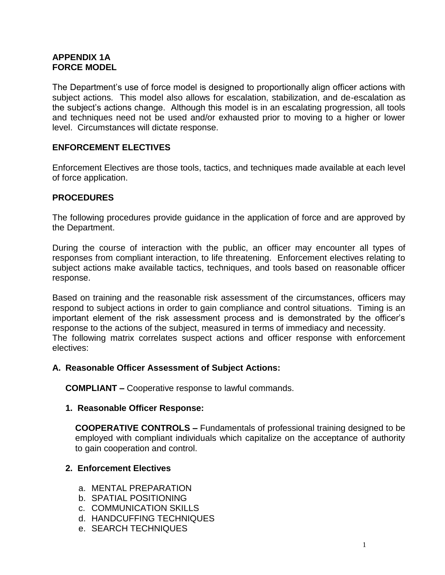# **APPENDIX 1A FORCE MODEL**

The Department's use of force model is designed to proportionally align officer actions with subject actions. This model also allows for escalation, stabilization, and de-escalation as the subject's actions change. Although this model is in an escalating progression, all tools and techniques need not be used and/or exhausted prior to moving to a higher or lower level. Circumstances will dictate response.

# **ENFORCEMENT ELECTIVES**

Enforcement Electives are those tools, tactics, and techniques made available at each level of force application.

## **PROCEDURES**

The following procedures provide guidance in the application of force and are approved by the Department.

During the course of interaction with the public, an officer may encounter all types of responses from compliant interaction, to life threatening. Enforcement electives relating to subject actions make available tactics, techniques, and tools based on reasonable officer response.

Based on training and the reasonable risk assessment of the circumstances, officers may respond to subject actions in order to gain compliance and control situations. Timing is an important element of the risk assessment process and is demonstrated by the officer's response to the actions of the subject, measured in terms of immediacy and necessity. The following matrix correlates suspect actions and officer response with enforcement electives:

## **A. Reasonable Officer Assessment of Subject Actions:**

**COMPLIANT –** Cooperative response to lawful commands.

#### **1. Reasonable Officer Response:**

**COOPERATIVE CONTROLS –** Fundamentals of professional training designed to be employed with compliant individuals which capitalize on the acceptance of authority to gain cooperation and control.

## **2. Enforcement Electives**

- a. MENTAL PREPARATION
- b. SPATIAL POSITIONING
- c. COMMUNICATION SKILLS
- d. HANDCUFFING TECHNIQUES
- e. SEARCH TECHNIQUES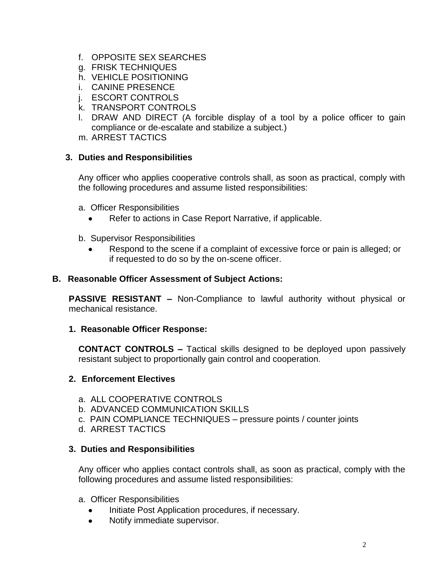- f. OPPOSITE SEX SEARCHES
- g. FRISK TECHNIQUES
- h. VEHICLE POSITIONING
- i. CANINE PRESENCE
- j. ESCORT CONTROLS
- k. TRANSPORT CONTROLS
- l. DRAW AND DIRECT (A forcible display of a tool by a police officer to gain compliance or de-escalate and stabilize a subject.)
- m. ARREST TACTICS

## **3. Duties and Responsibilities**

Any officer who applies cooperative controls shall, as soon as practical, comply with the following procedures and assume listed responsibilities:

- a. Officer Responsibilities
	- Refer to actions in Case Report Narrative, if applicable.
- b. Supervisor Responsibilities
	- Respond to the scene if a complaint of excessive force or pain is alleged; or if requested to do so by the on-scene officer.

## **B. Reasonable Officer Assessment of Subject Actions:**

**PASSIVE RESISTANT –** Non-Compliance to lawful authority without physical or mechanical resistance.

## **1. Reasonable Officer Response:**

**CONTACT CONTROLS –** Tactical skills designed to be deployed upon passively resistant subject to proportionally gain control and cooperation.

## **2. Enforcement Electives**

- a. ALL COOPERATIVE CONTROLS
- b. ADVANCED COMMUNICATION SKILLS
- c. PAIN COMPLIANCE TECHNIQUES pressure points / counter joints
- d. ARREST TACTICS

## **3. Duties and Responsibilities**

Any officer who applies contact controls shall, as soon as practical, comply with the following procedures and assume listed responsibilities:

#### a. Officer Responsibilities

- Initiate Post Application procedures, if necessary.
- Notify immediate supervisor.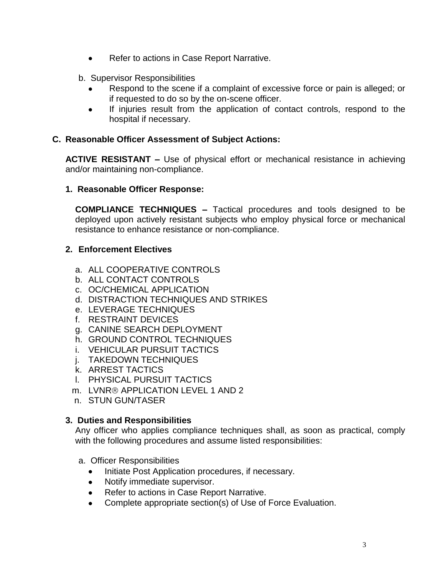- Refer to actions in Case Report Narrative.
- b. Supervisor Responsibilities
	- Respond to the scene if a complaint of excessive force or pain is alleged; or if requested to do so by the on-scene officer.
	- If injuries result from the application of contact controls, respond to the hospital if necessary.

## **C. Reasonable Officer Assessment of Subject Actions:**

**ACTIVE RESISTANT –** Use of physical effort or mechanical resistance in achieving and/or maintaining non-compliance.

## **1. Reasonable Officer Response:**

**COMPLIANCE TECHNIQUES –** Tactical procedures and tools designed to be deployed upon actively resistant subjects who employ physical force or mechanical resistance to enhance resistance or non-compliance.

## **2. Enforcement Electives**

- a. ALL COOPERATIVE CONTROLS
- b. ALL CONTACT CONTROLS
- c. OC/CHEMICAL APPLICATION
- d. DISTRACTION TECHNIQUES AND STRIKES
- e. LEVERAGE TECHNIQUES
- f. RESTRAINT DEVICES
- g. CANINE SEARCH DEPLOYMENT
- h. GROUND CONTROL TECHNIQUES
- i. VEHICULAR PURSUIT TACTICS
- j. TAKEDOWN TECHNIQUES
- k. ARREST TACTICS
- l. PHYSICAL PURSUIT TACTICS
- m. LVNR® APPLICATION LEVEL 1 AND 2
- n. STUN GUN/TASER

## **3. Duties and Responsibilities**

Any officer who applies compliance techniques shall, as soon as practical, comply with the following procedures and assume listed responsibilities:

- a. Officer Responsibilities
	- Initiate Post Application procedures, if necessary.
	- Notify immediate supervisor.
	- Refer to actions in Case Report Narrative.
	- Complete appropriate section(s) of Use of Force Evaluation.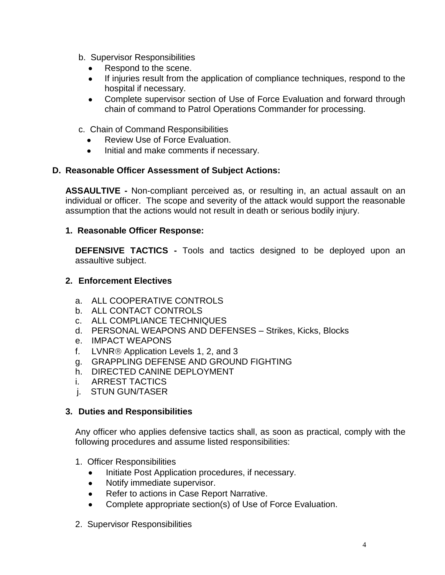- b. Supervisor Responsibilities
	- Respond to the scene.
	- If injuries result from the application of compliance techniques, respond to the hospital if necessary.
	- Complete supervisor section of Use of Force Evaluation and forward through chain of command to Patrol Operations Commander for processing.
- c. Chain of Command Responsibilities
	- Review Use of Force Evaluation.
	- Initial and make comments if necessary.

## **D. Reasonable Officer Assessment of Subject Actions:**

**ASSAULTIVE -** Non-compliant perceived as, or resulting in, an actual assault on an individual or officer. The scope and severity of the attack would support the reasonable assumption that the actions would not result in death or serious bodily injury.

## **1. Reasonable Officer Response:**

**DEFENSIVE TACTICS -** Tools and tactics designed to be deployed upon an assaultive subject.

## **2. Enforcement Electives**

- a. ALL COOPERATIVE CONTROLS
- b. ALL CONTACT CONTROLS
- c. ALL COMPLIANCE TECHNIQUES
- d. PERSONAL WEAPONS AND DEFENSES Strikes, Kicks, Blocks
- e. IMPACT WEAPONS
- f. LVNR<sup>®</sup> Application Levels 1, 2, and 3
- g. GRAPPLING DEFENSE AND GROUND FIGHTING
- h. DIRECTED CANINE DEPLOYMENT
- i. ARREST TACTICS
- j. STUN GUN/TASER

## **3. Duties and Responsibilities**

Any officer who applies defensive tactics shall, as soon as practical, comply with the following procedures and assume listed responsibilities:

- 1. Officer Responsibilities
	- Initiate Post Application procedures, if necessary.
	- Notify immediate supervisor.
	- Refer to actions in Case Report Narrative.
	- Complete appropriate section(s) of Use of Force Evaluation.
- 2. Supervisor Responsibilities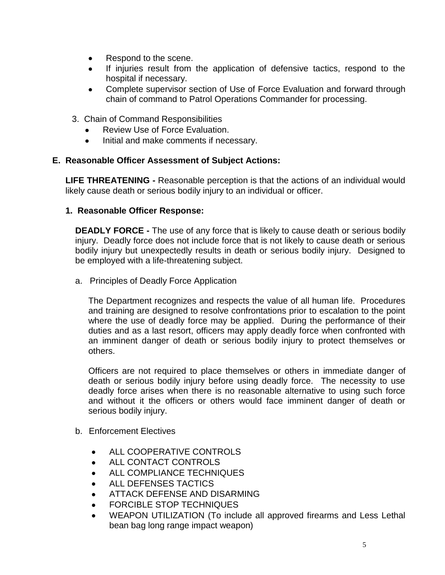- Respond to the scene.
- If injuries result from the application of defensive tactics, respond to the hospital if necessary.
- Complete supervisor section of Use of Force Evaluation and forward through chain of command to Patrol Operations Commander for processing.
- 3. Chain of Command Responsibilities
	- Review Use of Force Evaluation.
	- Initial and make comments if necessary.

## **E. Reasonable Officer Assessment of Subject Actions:**

**LIFE THREATENING -** Reasonable perception is that the actions of an individual would likely cause death or serious bodily injury to an individual or officer.

## **1. Reasonable Officer Response:**

**DEADLY FORCE -** The use of any force that is likely to cause death or serious bodily injury. Deadly force does not include force that is not likely to cause death or serious bodily injury but unexpectedly results in death or serious bodily injury. Designed to be employed with a life-threatening subject.

a. Principles of Deadly Force Application

The Department recognizes and respects the value of all human life. Procedures and training are designed to resolve confrontations prior to escalation to the point where the use of deadly force may be applied. During the performance of their duties and as a last resort, officers may apply deadly force when confronted with an imminent danger of death or serious bodily injury to protect themselves or others.

Officers are not required to place themselves or others in immediate danger of death or serious bodily injury before using deadly force. The necessity to use deadly force arises when there is no reasonable alternative to using such force and without it the officers or others would face imminent danger of death or serious bodily injury.

- b. Enforcement Electives
	- ALL COOPERATIVE CONTROLS
	- ALL CONTACT CONTROLS
	- ALL COMPLIANCE TECHNIQUES
	- ALL DEFENSES TACTICS
	- ATTACK DEFENSE AND DISARMING
	- **FORCIBLE STOP TECHNIQUES**
	- WEAPON UTILIZATION (To include all approved firearms and Less Lethal bean bag long range impact weapon)